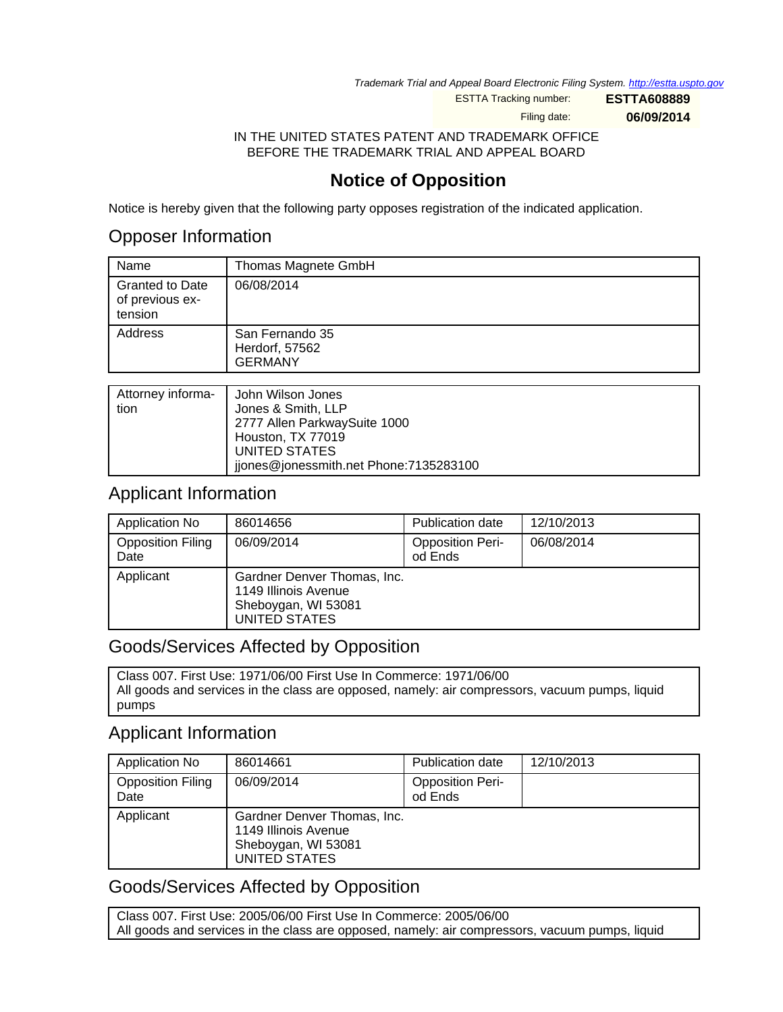Trademark Trial and Appeal Board Electronic Filing System. <http://estta.uspto.gov>

ESTTA Tracking number: **ESTTA608889**

Filing date: **06/09/2014**

IN THE UNITED STATES PATENT AND TRADEMARK OFFICE BEFORE THE TRADEMARK TRIAL AND APPEAL BOARD

# **Notice of Opposition**

Notice is hereby given that the following party opposes registration of the indicated application.

## Opposer Information

| Name                                                 | Thomas Magnete GmbH                                 |
|------------------------------------------------------|-----------------------------------------------------|
| <b>Granted to Date</b><br>of previous ex-<br>tension | 06/08/2014                                          |
| Address                                              | San Fernando 35<br>Herdorf, 57562<br><b>GERMANY</b> |
|                                                      |                                                     |
| $Atoring$ informa-                                   | John Wilcon, Jonge                                  |

|      | Attorney informa-   John Wilson Jones  |
|------|----------------------------------------|
| tion | Jones & Smith, LLP                     |
|      | 2777 Allen ParkwaySuite 1000           |
|      | Houston, TX 77019                      |
|      | UNITED STATES                          |
|      | jiones@jonessmith.net Phone:7135283100 |

### Applicant Information

| Application No                   | 86014656                                                                                    | <b>Publication date</b>            | 12/10/2013 |
|----------------------------------|---------------------------------------------------------------------------------------------|------------------------------------|------------|
| <b>Opposition Filing</b><br>Date | 06/09/2014                                                                                  | <b>Opposition Peri-</b><br>od Ends | 06/08/2014 |
| Applicant                        | Gardner Denver Thomas, Inc.<br>1149 Illinois Avenue<br>Sheboygan, WI 53081<br>UNITED STATES |                                    |            |

### Goods/Services Affected by Opposition

Class 007. First Use: 1971/06/00 First Use In Commerce: 1971/06/00 All goods and services in the class are opposed, namely: air compressors, vacuum pumps, liquid pumps

## Applicant Information

| Application No                   | 86014661                                                                                    | <b>Publication date</b>            | 12/10/2013 |
|----------------------------------|---------------------------------------------------------------------------------------------|------------------------------------|------------|
| <b>Opposition Filing</b><br>Date | 06/09/2014                                                                                  | <b>Opposition Peri-</b><br>od Ends |            |
| Applicant                        | Gardner Denver Thomas, Inc.<br>1149 Illinois Avenue<br>Sheboygan, WI 53081<br>UNITED STATES |                                    |            |

## Goods/Services Affected by Opposition

Class 007. First Use: 2005/06/00 First Use In Commerce: 2005/06/00 All goods and services in the class are opposed, namely: air compressors, vacuum pumps, liquid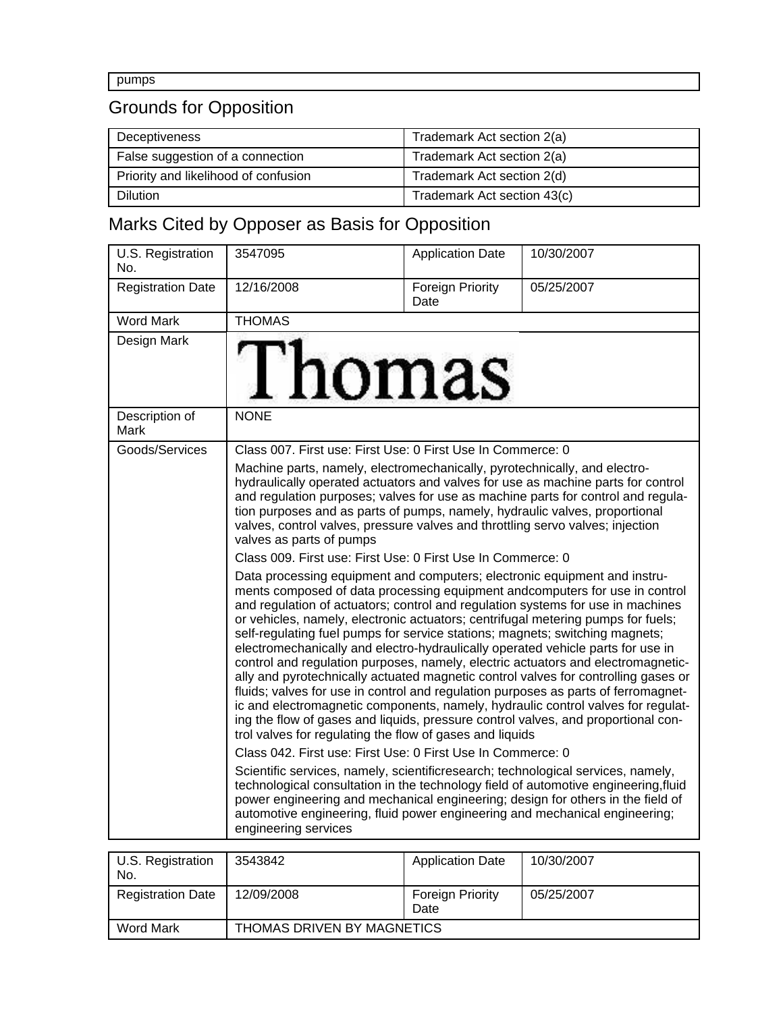pumps

# Grounds for Opposition

| Deceptiveness                        | Trademark Act section 2(a)  |
|--------------------------------------|-----------------------------|
| False suggestion of a connection     | Trademark Act section 2(a)  |
| Priority and likelihood of confusion | Trademark Act section 2(d)  |
| <b>Dilution</b>                      | Trademark Act section 43(c) |

# Marks Cited by Opposer as Basis for Opposition

| U.S. Registration<br>No. | 3547095                                                                                                                                                                                                                                                                                                                                                                                                                                                                                                                                                                                                                                                                                                                                                                                                                                                                                                                                                                                   | <b>Application Date</b>  | 10/30/2007 |
|--------------------------|-------------------------------------------------------------------------------------------------------------------------------------------------------------------------------------------------------------------------------------------------------------------------------------------------------------------------------------------------------------------------------------------------------------------------------------------------------------------------------------------------------------------------------------------------------------------------------------------------------------------------------------------------------------------------------------------------------------------------------------------------------------------------------------------------------------------------------------------------------------------------------------------------------------------------------------------------------------------------------------------|--------------------------|------------|
| <b>Registration Date</b> | 12/16/2008                                                                                                                                                                                                                                                                                                                                                                                                                                                                                                                                                                                                                                                                                                                                                                                                                                                                                                                                                                                | Foreign Priority<br>Date | 05/25/2007 |
| <b>Word Mark</b>         | <b>THOMAS</b>                                                                                                                                                                                                                                                                                                                                                                                                                                                                                                                                                                                                                                                                                                                                                                                                                                                                                                                                                                             |                          |            |
| Design Mark              | Thomas                                                                                                                                                                                                                                                                                                                                                                                                                                                                                                                                                                                                                                                                                                                                                                                                                                                                                                                                                                                    |                          |            |
| Description of<br>Mark   | <b>NONE</b>                                                                                                                                                                                                                                                                                                                                                                                                                                                                                                                                                                                                                                                                                                                                                                                                                                                                                                                                                                               |                          |            |
| Goods/Services           | Class 007. First use: First Use: 0 First Use In Commerce: 0                                                                                                                                                                                                                                                                                                                                                                                                                                                                                                                                                                                                                                                                                                                                                                                                                                                                                                                               |                          |            |
|                          | Machine parts, namely, electromechanically, pyrotechnically, and electro-<br>hydraulically operated actuators and valves for use as machine parts for control<br>and regulation purposes; valves for use as machine parts for control and regula-<br>tion purposes and as parts of pumps, namely, hydraulic valves, proportional<br>valves, control valves, pressure valves and throttling servo valves; injection<br>valves as parts of pumps                                                                                                                                                                                                                                                                                                                                                                                                                                                                                                                                            |                          |            |
|                          | Class 009. First use: First Use: 0 First Use In Commerce: 0<br>Data processing equipment and computers; electronic equipment and instru-                                                                                                                                                                                                                                                                                                                                                                                                                                                                                                                                                                                                                                                                                                                                                                                                                                                  |                          |            |
|                          | ments composed of data processing equipment andcomputers for use in control<br>and regulation of actuators; control and regulation systems for use in machines<br>or vehicles, namely, electronic actuators; centrifugal metering pumps for fuels;<br>self-regulating fuel pumps for service stations; magnets; switching magnets;<br>electromechanically and electro-hydraulically operated vehicle parts for use in<br>control and regulation purposes, namely, electric actuators and electromagnetic-<br>ally and pyrotechnically actuated magnetic control valves for controlling gases or<br>fluids; valves for use in control and regulation purposes as parts of ferromagnet-<br>ic and electromagnetic components, namely, hydraulic control valves for regulat-<br>ing the flow of gases and liquids, pressure control valves, and proportional con-<br>trol valves for regulating the flow of gases and liquids<br>Class 042. First use: First Use: 0 First Use In Commerce: 0 |                          |            |
|                          | Scientific services, namely, scientificresearch; technological services, namely,<br>technological consultation in the technology field of automotive engineering, fluid<br>power engineering and mechanical engineering; design for others in the field of<br>automotive engineering, fluid power engineering and mechanical engineering;<br>engineering services                                                                                                                                                                                                                                                                                                                                                                                                                                                                                                                                                                                                                         |                          |            |
| U.S. Registration        | 3543842                                                                                                                                                                                                                                                                                                                                                                                                                                                                                                                                                                                                                                                                                                                                                                                                                                                                                                                                                                                   | <b>Application Date</b>  | 10/30/2007 |
| No.                      |                                                                                                                                                                                                                                                                                                                                                                                                                                                                                                                                                                                                                                                                                                                                                                                                                                                                                                                                                                                           |                          | 0.5050007  |
|                          |                                                                                                                                                                                                                                                                                                                                                                                                                                                                                                                                                                                                                                                                                                                                                                                                                                                                                                                                                                                           |                          |            |

| <b>Registration Date</b> | 12/09/2008                 | <b>Foreign Priority</b><br>Date | 05/25/2007 |
|--------------------------|----------------------------|---------------------------------|------------|
| Word Mark                | THOMAS DRIVEN BY MAGNETICS |                                 |            |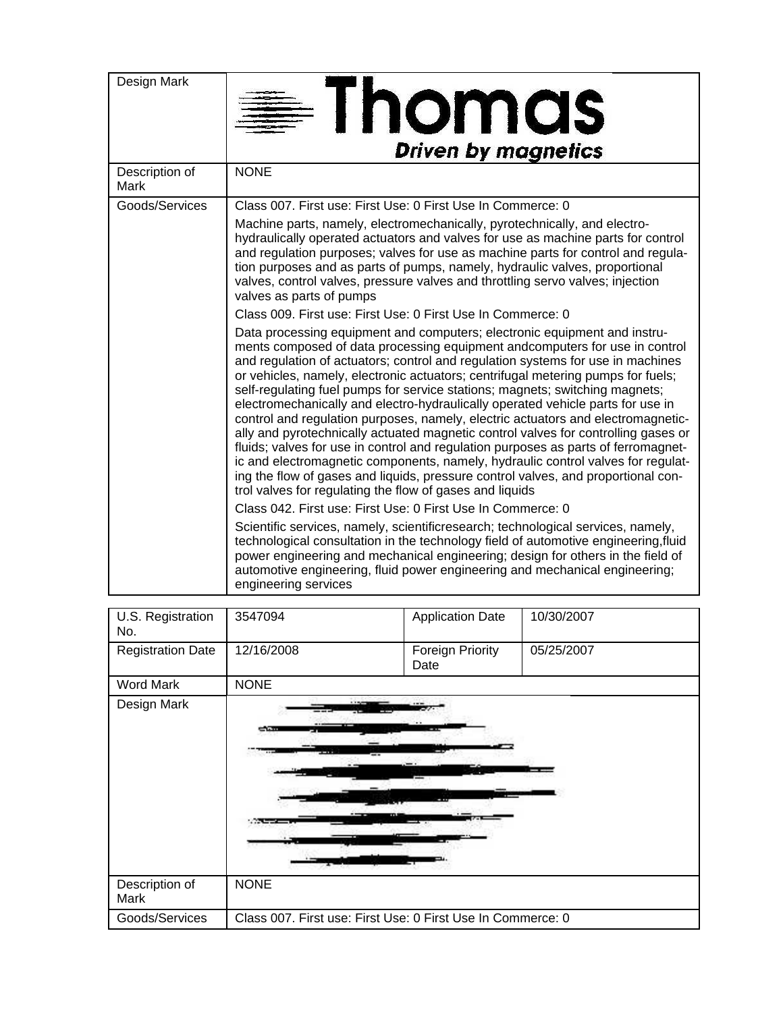| Design Mark            | <b>Thomas</b><br><b>Driven by magnetics</b>                                                                                                                                                                                                                                                                                                                                                                                                                                                                                                                                                                                                                                                                                                                                                                                                                                                                                                                                                             |
|------------------------|---------------------------------------------------------------------------------------------------------------------------------------------------------------------------------------------------------------------------------------------------------------------------------------------------------------------------------------------------------------------------------------------------------------------------------------------------------------------------------------------------------------------------------------------------------------------------------------------------------------------------------------------------------------------------------------------------------------------------------------------------------------------------------------------------------------------------------------------------------------------------------------------------------------------------------------------------------------------------------------------------------|
| Description of<br>Mark | <b>NONE</b>                                                                                                                                                                                                                                                                                                                                                                                                                                                                                                                                                                                                                                                                                                                                                                                                                                                                                                                                                                                             |
| Goods/Services         | Class 007. First use: First Use: 0 First Use In Commerce: 0                                                                                                                                                                                                                                                                                                                                                                                                                                                                                                                                                                                                                                                                                                                                                                                                                                                                                                                                             |
|                        | Machine parts, namely, electromechanically, pyrotechnically, and electro-<br>hydraulically operated actuators and valves for use as machine parts for control<br>and regulation purposes; valves for use as machine parts for control and regula-<br>tion purposes and as parts of pumps, namely, hydraulic valves, proportional<br>valves, control valves, pressure valves and throttling servo valves; injection<br>valves as parts of pumps                                                                                                                                                                                                                                                                                                                                                                                                                                                                                                                                                          |
|                        | Class 009. First use: First Use: 0 First Use In Commerce: 0                                                                                                                                                                                                                                                                                                                                                                                                                                                                                                                                                                                                                                                                                                                                                                                                                                                                                                                                             |
|                        | Data processing equipment and computers; electronic equipment and instru-<br>ments composed of data processing equipment andcomputers for use in control<br>and regulation of actuators; control and regulation systems for use in machines<br>or vehicles, namely, electronic actuators; centrifugal metering pumps for fuels;<br>self-regulating fuel pumps for service stations; magnets; switching magnets;<br>electromechanically and electro-hydraulically operated vehicle parts for use in<br>control and regulation purposes, namely, electric actuators and electromagnetic-<br>ally and pyrotechnically actuated magnetic control valves for controlling gases or<br>fluids; valves for use in control and regulation purposes as parts of ferromagnet-<br>ic and electromagnetic components, namely, hydraulic control valves for regulat-<br>ing the flow of gases and liquids, pressure control valves, and proportional con-<br>trol valves for regulating the flow of gases and liquids |
|                        | Class 042. First use: First Use: 0 First Use In Commerce: 0                                                                                                                                                                                                                                                                                                                                                                                                                                                                                                                                                                                                                                                                                                                                                                                                                                                                                                                                             |
|                        | Scientific services, namely, scientificresearch; technological services, namely,<br>technological consultation in the technology field of automotive engineering, fluid<br>power engineering and mechanical engineering; design for others in the field of<br>automotive engineering, fluid power engineering and mechanical engineering;<br>engineering services                                                                                                                                                                                                                                                                                                                                                                                                                                                                                                                                                                                                                                       |

| U.S. Registration<br>No. | 3547094                                                     | <b>Application Date</b>         | 10/30/2007 |
|--------------------------|-------------------------------------------------------------|---------------------------------|------------|
| <b>Registration Date</b> | 12/16/2008                                                  | <b>Foreign Priority</b><br>Date | 05/25/2007 |
| <b>Word Mark</b>         | <b>NONE</b>                                                 |                                 |            |
| Design Mark              | ست                                                          |                                 |            |
| Description of<br>Mark   | <b>NONE</b>                                                 |                                 |            |
| Goods/Services           | Class 007. First use: First Use: 0 First Use In Commerce: 0 |                                 |            |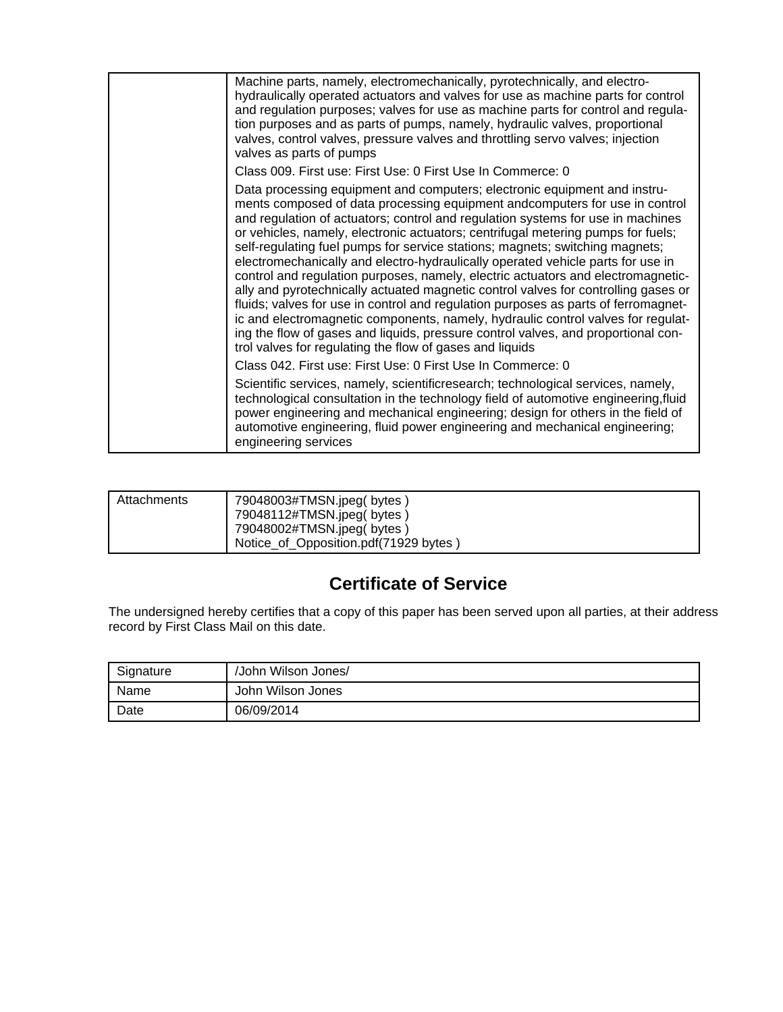| Machine parts, namely, electromechanically, pyrotechnically, and electro-<br>hydraulically operated actuators and valves for use as machine parts for control<br>and regulation purposes; valves for use as machine parts for control and regula-<br>tion purposes and as parts of pumps, namely, hydraulic valves, proportional<br>valves, control valves, pressure valves and throttling servo valves; injection<br>valves as parts of pumps                                                                                                                                                                                                                                                                                                                                                                                                                                                                                                                                                          |
|---------------------------------------------------------------------------------------------------------------------------------------------------------------------------------------------------------------------------------------------------------------------------------------------------------------------------------------------------------------------------------------------------------------------------------------------------------------------------------------------------------------------------------------------------------------------------------------------------------------------------------------------------------------------------------------------------------------------------------------------------------------------------------------------------------------------------------------------------------------------------------------------------------------------------------------------------------------------------------------------------------|
| Class 009. First use: First Use: 0 First Use In Commerce: 0                                                                                                                                                                                                                                                                                                                                                                                                                                                                                                                                                                                                                                                                                                                                                                                                                                                                                                                                             |
| Data processing equipment and computers; electronic equipment and instru-<br>ments composed of data processing equipment andcomputers for use in control<br>and regulation of actuators; control and regulation systems for use in machines<br>or vehicles, namely, electronic actuators; centrifugal metering pumps for fuels;<br>self-regulating fuel pumps for service stations; magnets; switching magnets;<br>electromechanically and electro-hydraulically operated vehicle parts for use in<br>control and regulation purposes, namely, electric actuators and electromagnetic-<br>ally and pyrotechnically actuated magnetic control valves for controlling gases or<br>fluids; valves for use in control and regulation purposes as parts of ferromagnet-<br>ic and electromagnetic components, namely, hydraulic control valves for regulat-<br>ing the flow of gases and liquids, pressure control valves, and proportional con-<br>trol valves for regulating the flow of gases and liquids |
| Class 042. First use: First Use: 0 First Use In Commerce: 0                                                                                                                                                                                                                                                                                                                                                                                                                                                                                                                                                                                                                                                                                                                                                                                                                                                                                                                                             |
| Scientific services, namely, scientificresearch; technological services, namely,<br>technological consultation in the technology field of automotive engineering, fluid<br>power engineering and mechanical engineering; design for others in the field of<br>automotive engineering, fluid power engineering and mechanical engineering;<br>engineering services                                                                                                                                                                                                                                                                                                                                                                                                                                                                                                                                                                                                                                       |

| Attachments | 79048003#TMSN.jpeg(bytes)<br>79048112#TMSN.jpeg(bytes)             |
|-------------|--------------------------------------------------------------------|
|             | 79048002#TMSN.jpeg(bytes)<br>Notice_of_Opposition.pdf(71929 bytes) |

# **Certificate of Service**

The undersigned hereby certifies that a copy of this paper has been served upon all parties, at their address record by First Class Mail on this date.

| Signature | /John Wilson Jones/ |
|-----------|---------------------|
| Name      | John Wilson Jones   |
| Date      | 06/09/2014          |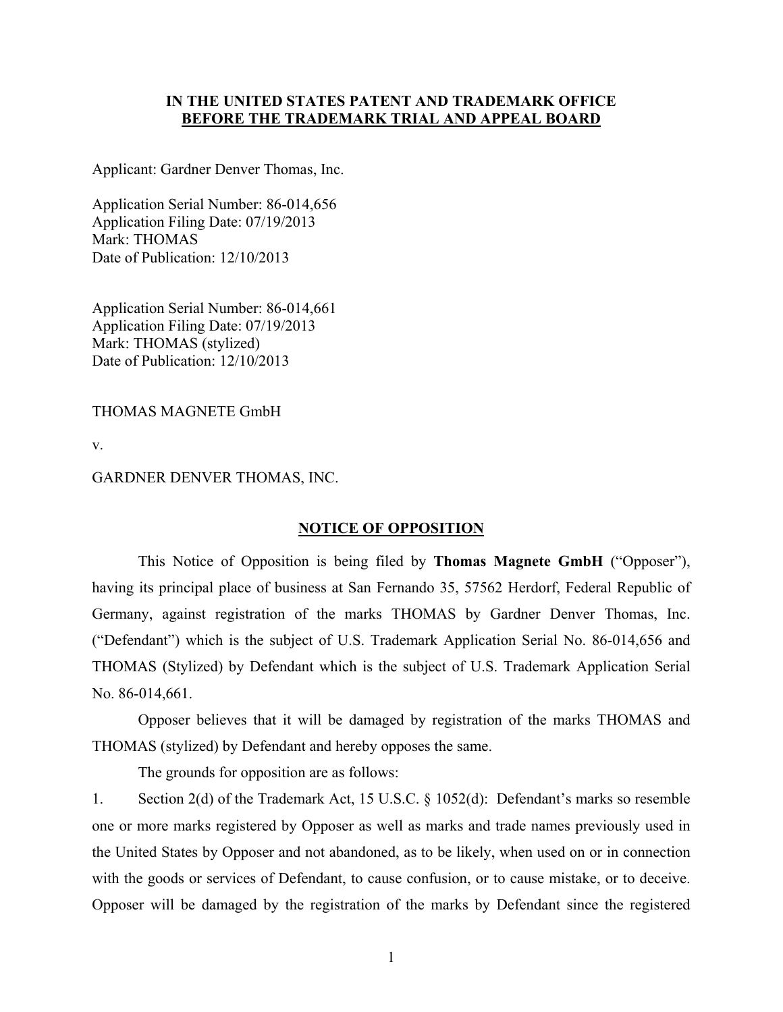### **IN THE UNITED STATES PATENT AND TRADEMARK OFFICE BEFORE THE TRADEMARK TRIAL AND APPEAL BOARD**

Applicant: Gardner Denver Thomas, Inc.

Application Serial Number: 86-014,656 Application Filing Date: 07/19/2013 Mark: THOMAS Date of Publication: 12/10/2013

Application Serial Number: 86-014,661 Application Filing Date: 07/19/2013 Mark: THOMAS (stylized) Date of Publication: 12/10/2013

THOMAS MAGNETE GmbH

v.

#### GARDNER DENVER THOMAS, INC.

#### **NOTICE OF OPPOSITION**

 This Notice of Opposition is being filed by **Thomas Magnete GmbH** ("Opposer"), having its principal place of business at San Fernando 35, 57562 Herdorf, Federal Republic of Germany, against registration of the marks THOMAS by Gardner Denver Thomas, Inc. ("Defendant") which is the subject of U.S. Trademark Application Serial No. 86-014,656 and THOMAS (Stylized) by Defendant which is the subject of U.S. Trademark Application Serial No. 86-014,661.

 Opposer believes that it will be damaged by registration of the marks THOMAS and THOMAS (stylized) by Defendant and hereby opposes the same.

The grounds for opposition are as follows:

1. Section 2(d) of the Trademark Act, 15 U.S.C. § 1052(d): Defendant's marks so resemble one or more marks registered by Opposer as well as marks and trade names previously used in the United States by Opposer and not abandoned, as to be likely, when used on or in connection with the goods or services of Defendant, to cause confusion, or to cause mistake, or to deceive. Opposer will be damaged by the registration of the marks by Defendant since the registered